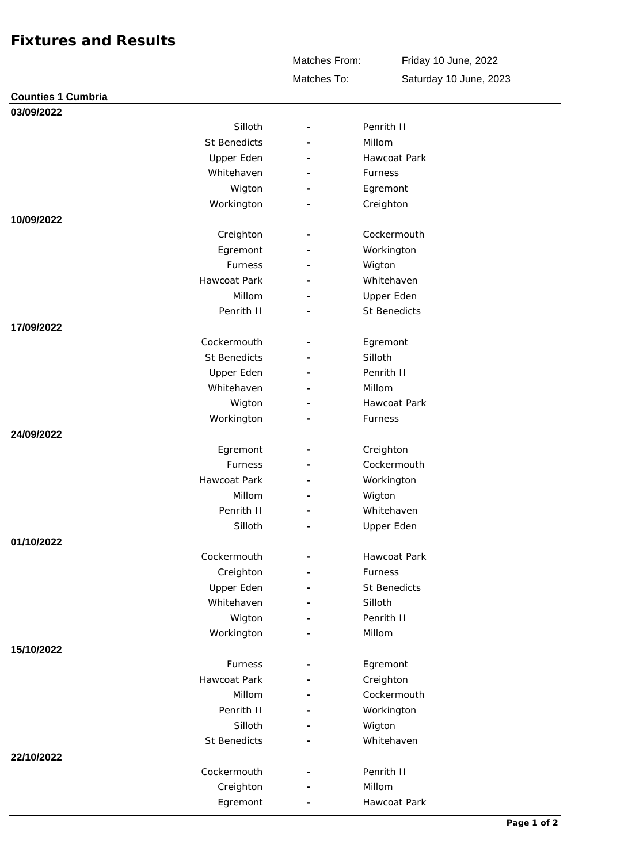## **Fixtures and Results**

Matches To: Matches From:

Friday 10 June, 2022 Saturday 10 June, 2023

| <b>Counties 1 Cumbria</b> |                     |                          |                   |
|---------------------------|---------------------|--------------------------|-------------------|
| 03/09/2022                |                     |                          |                   |
|                           | Silloth             | $\overline{\phantom{a}}$ | Penrith II        |
|                           | <b>St Benedicts</b> |                          | Millom            |
|                           | Upper Eden          |                          | Hawcoat Park      |
|                           | Whitehaven          |                          | Furness           |
|                           | Wigton              |                          | Egremont          |
|                           | Workington          |                          | Creighton         |
| 10/09/2022                |                     |                          |                   |
|                           | Creighton           |                          | Cockermouth       |
|                           | Egremont            | $\overline{\phantom{a}}$ | Workington        |
|                           | Furness             |                          | Wigton            |
|                           | Hawcoat Park        |                          | Whitehaven        |
|                           | Millom              |                          | Upper Eden        |
|                           | Penrith II          |                          | St Benedicts      |
| 17/09/2022                |                     |                          |                   |
|                           | Cockermouth         |                          | Egremont          |
|                           | <b>St Benedicts</b> |                          | Silloth           |
|                           | Upper Eden          |                          | Penrith II        |
|                           | Whitehaven          |                          | Millom            |
|                           | Wigton              |                          | Hawcoat Park      |
|                           | Workington          |                          | Furness           |
| 24/09/2022                |                     |                          |                   |
|                           | Egremont            |                          | Creighton         |
|                           | Furness             |                          | Cockermouth       |
|                           | Hawcoat Park        | $\overline{\phantom{a}}$ | Workington        |
|                           | Millom              | $\overline{\phantom{a}}$ | Wigton            |
|                           | Penrith II          |                          | Whitehaven        |
|                           | Silloth             |                          | <b>Upper Eden</b> |
| 01/10/2022                |                     |                          |                   |
|                           | Cockermouth         |                          | Hawcoat Park      |
|                           | Creighton           |                          | Furness           |
|                           | Upper Eden          |                          | St Benedicts      |
|                           | Whitehaven          |                          | Silloth           |
|                           | Wigton              |                          | Penrith II        |
|                           | Workington          |                          | Millom            |
| 15/10/2022                |                     |                          |                   |
|                           | Furness             |                          | Egremont          |
|                           | Hawcoat Park        |                          | Creighton         |
|                           | Millom              |                          | Cockermouth       |
|                           | Penrith II          |                          | Workington        |
|                           | Silloth             | $\overline{\phantom{a}}$ | Wigton            |
|                           | St Benedicts        |                          | Whitehaven        |
| 22/10/2022                | Cockermouth         |                          | Penrith II        |
|                           |                     |                          | Millom            |
|                           | Creighton           | $\overline{\phantom{a}}$ |                   |
|                           | Egremont            |                          | Hawcoat Park      |